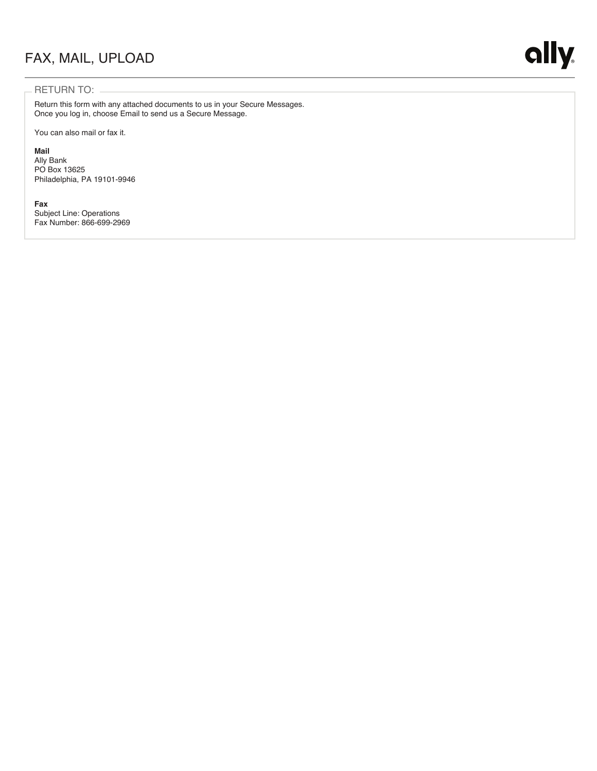## FAX, MAIL, UPLOAD

### RETURN TO:

Return this form with any attached documents to us in your Secure Messages. Once you log in, choose Email to send us a Secure Message.

You can also mail or fax it.

### **Mail**

Ally Bank PO Box 13625 Philadelphia, PA 19101-9946

### **Fax**

Subject Line: Operations Fax Number: 866-699-2969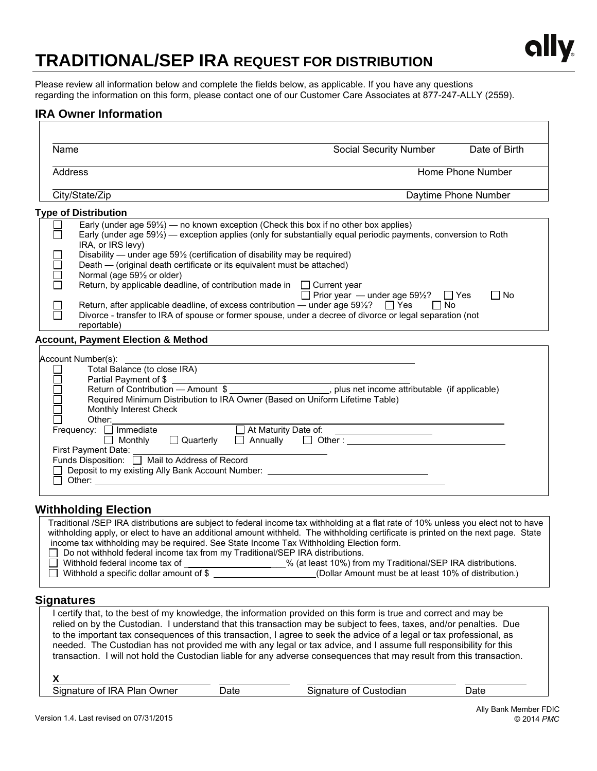

# **TRADITIONAL/SEP IRA REQUEST FOR DISTRIBUTION**

Please review all information below and complete the fields below, as applicable. If you have any questions regarding the information on this form, please contact one of our Customer Care Associates at 877-247-ALLY (2559).

### **IRA Owner Information**

| Name                                                                                                                                                                                                                                                                                                                                                                                                                                                                                                                                                                                                                                  | Social Security Number                                                | Date of Birth           |
|---------------------------------------------------------------------------------------------------------------------------------------------------------------------------------------------------------------------------------------------------------------------------------------------------------------------------------------------------------------------------------------------------------------------------------------------------------------------------------------------------------------------------------------------------------------------------------------------------------------------------------------|-----------------------------------------------------------------------|-------------------------|
| Address<br>Home Phone Number                                                                                                                                                                                                                                                                                                                                                                                                                                                                                                                                                                                                          |                                                                       |                         |
| City/State/Zip                                                                                                                                                                                                                                                                                                                                                                                                                                                                                                                                                                                                                        |                                                                       | Daytime Phone Number    |
| <b>Type of Distribution</b>                                                                                                                                                                                                                                                                                                                                                                                                                                                                                                                                                                                                           |                                                                       |                         |
| Early (under age 591/2) - no known exception (Check this box if no other box applies)<br>$\Box$<br>Early (under age 59%) — exception applies (only for substantially equal periodic payments, conversion to Roth<br>IRA, or IRS levy)<br>Disability — under age 59 <sup>1/2</sup> (certification of disability may be required)                                                                                                                                                                                                                                                                                                       |                                                                       |                         |
| $\Box$<br>Death — (original death certificate or its equivalent must be attached)<br>Normal (age 591/2 or older)<br>Return, by applicable deadline, of contribution made in $\Box$ Current year                                                                                                                                                                                                                                                                                                                                                                                                                                       | $\Box$ Prior year $-$ under age 591/2?                                | $\Box$ No<br>$\Box$ Yes |
| Return, after applicable deadline, of excess contribution — under age $59\frac{1}{2}$ ? $\Box$ Yes<br>Divorce - transfer to IRA of spouse or former spouse, under a decree of divorce or legal separation (not<br>reportable)                                                                                                                                                                                                                                                                                                                                                                                                         | l No                                                                  |                         |
| <b>Account, Payment Election &amp; Method</b>                                                                                                                                                                                                                                                                                                                                                                                                                                                                                                                                                                                         |                                                                       |                         |
| Account Number(s):<br>Total Balance (to close IRA)<br>Partial Payment of \$<br><u> 1980 - Johann Barn, mars an t-Amerikaansk ferske område og de formanner og de formanner og de formanner og de</u><br>Return of Contribution - Amount \$<br>Required Minimum Distribution to IRA Owner (Based on Uniform Lifetime Table)<br>$\Box$<br>Monthly Interest Check<br>Other:<br>At Maturity Date of:<br>Frequency: □ Immediate<br>Quarterly<br>Monthly<br>$\perp$<br>First Payment Date:<br>Funds Disposition: □ Mail to Address of Record<br>Deposit to my existing Ally Bank Account Number: _______________________________<br>$\perp$ | <u> Albanya (Albanya) a shekara ta 1999</u><br>Annually $\Box$ Other: |                         |
| <b>Withholding Election</b>                                                                                                                                                                                                                                                                                                                                                                                                                                                                                                                                                                                                           |                                                                       |                         |
| Traditional /SEP IRA distributions are subject to federal income tax withholding at a flat rate of 10% unless you elect not to have<br>withholding apply, or elect to have an additional amount withheld. The withholding certificate is printed on the next page. State<br>income tax withholding may be required. See State Income Tax Withholding Election form.<br>$\ldots$ . The leads of the compact of the contract of the second contract $\cup$ $\cap$ $\cap$ $\wedge$ . The contract of $\cup$                                                                                                                              |                                                                       |                         |

#### $\Box$  Do not withhold federal income tax from my Traditional/SEP IRA distributions.<br>
Withhold federal income tax of  $\%$  (at least 10%) from ■ Withhold federal income tax of \_\_\_\_\_\_\_\_\_\_\_\_\_\_\_\_\_\_\_% (at least 10%) from my Traditional/SEP IRA distributions.<br>■ Withhold a specific dollar amount of \$ (Dollar Amount must be at least 10% of distribution.) (Dollar Amount must be at least 10% of distribution.)

### **Signatures**

I certify that, to the best of my knowledge, the information provided on this form is true and correct and may be relied on by the Custodian. I understand that this transaction may be subject to fees, taxes, and/or penalties. Due to the important tax consequences of this transaction, I agree to seek the advice of a legal or tax professional, as needed. The Custodian has not provided me with any legal or tax advice, and I assume full responsibility for this transaction. I will not hold the Custodian liable for any adverse consequences that may result from this transaction. **X** Signature of IRA Plan Owner Date **Date Signature of Custodian** Date